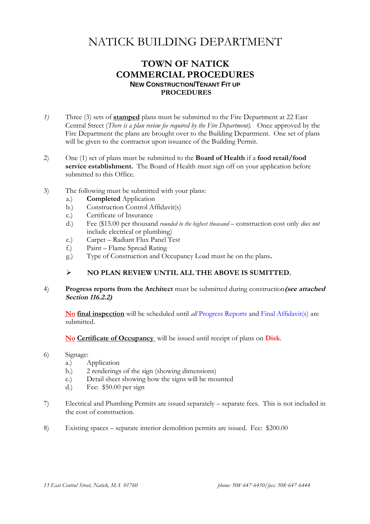### **TOWN OF NATICK COMMERCIAL PROCEDURES NEW CONSTRUCTION/TENANT FIT UP PROCEDURES**

- *1)* Three (3) sets of **stamped** plans must be submitted to the Fire Department at 22 East Central Street (*There is a plan review fee required by the Fire Department).* Once approved by the Fire Department the plans are brought over to the Building Department. One set of plans will be given to the contractor upon issuance of the Building Permit.
- 2) One (1) set of plans must be submitted to the **Board of Health** if a **food retail/food service establishment.** The Board of Health must sign off on your application before submitted to this Office.
- 3) The following must be submitted with your plans:
	- a.) **Completed** Application
	- b.) Construction Control Affidavit(s)
	- c.) Certificate of Insurance
	- d.) Fee (\$15.00 per thousand *rounded to the highest thousand* construction cost only *does not* include electrical or plumbing)
	- e.) Carpet Radiant Flux Panel Test
	- f.) Paint Flame Spread Rating
	- g.) Type of Construction and Occupancy Load must be on the plans**.**

#### **NO PLAN REVIEW UNTIL ALL THE ABOVE IS SUMITTED.**

4) **Progress reports from the Architect** must be submitted during construction**(see attached Section 116.2.2)**

**No final inspection** will be scheduled until *all* Progress Reports and Final Affidavit(s) are submitted.

**No Certificate of Occupancy** will be issued until receipt of plans on **Disk**.

- 6) Signage:
	- a.) Application
	- b.) 2 renderings of the sign (showing dimensions)
	- c.) Detail sheet showing how the signs will be mounted
	- d.) Fee: \$50.00 per sign
- 7) Electrical and Plumbing Permits are issued separately separate fees. This is not included in the cost of construction.
- 8) Existing spaces separate interior demolition permits are issued. Fee: \$200.00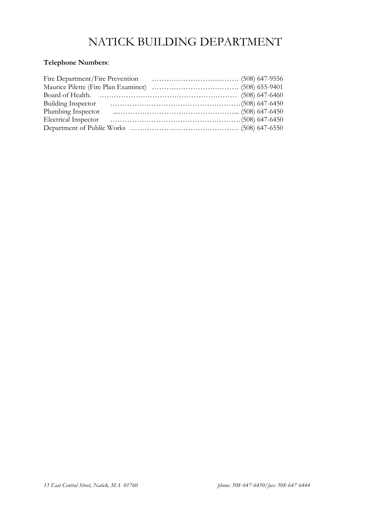## **Telephone Numbers**:

| Fire Department/Fire Prevention |  |
|---------------------------------|--|
|                                 |  |
|                                 |  |
| <b>Building Inspector</b>       |  |
| Plumbing Inspector              |  |
| <b>Electrical Inspector</b>     |  |
|                                 |  |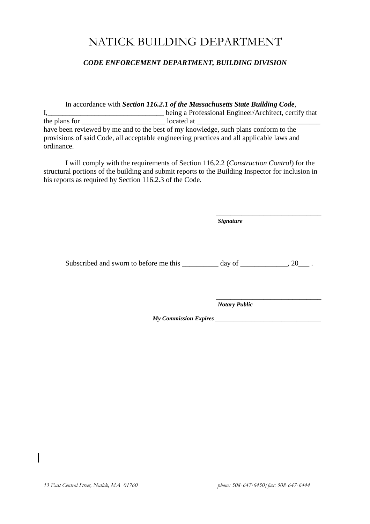#### *CODE ENFORCEMENT DEPARTMENT, BUILDING DIVISION*

In accordance with *Section 116.2.1 of the Massachusetts State Building Code*, I,\_\_\_\_\_\_\_\_\_\_\_\_\_\_\_\_\_\_\_\_\_\_\_\_\_\_\_\_\_\_\_\_ being a Professional Engineer/Architect, certify that the plans for \_\_\_\_\_\_\_\_\_\_\_\_\_\_\_\_\_\_\_\_\_\_\_ located at \_\_\_\_\_\_\_\_\_\_\_\_\_\_\_\_\_\_\_\_\_\_\_\_\_\_\_\_\_\_\_\_\_\_ have been reviewed by me and to the best of my knowledge, such plans conform to the provisions of said Code, all acceptable engineering practices and all applicable laws and ordinance.

I will comply with the requirements of Section 116.2.2 (*Construction Control*) for the structural portions of the building and submit reports to the Building Inspector for inclusion in his reports as required by Section 116.2.3 of the Code.

Subscribed and sworn to before me this day of  $\qquad \qquad$  . 20

\_\_\_\_\_\_\_\_\_\_\_\_\_\_\_\_\_\_\_\_\_\_\_\_\_\_\_\_\_ *Notary Public*

*Signature*

\_\_\_\_\_\_\_\_\_\_\_\_\_\_\_\_\_\_\_\_\_\_\_\_\_\_\_\_\_

*My Commission Expires \_\_\_\_\_\_\_\_\_\_\_\_\_\_\_\_\_\_\_\_\_\_\_\_\_\_\_\_\_\_\_\_\_\_\_*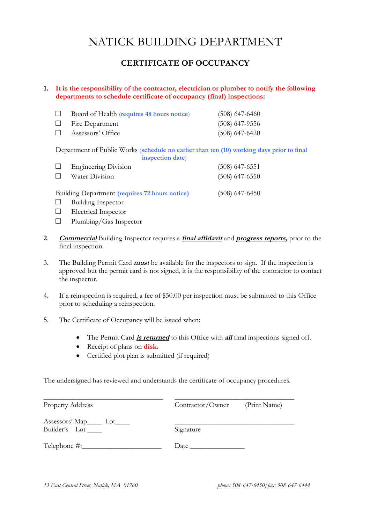### **CERTIFICATE OF OCCUPANCY**

#### **1. It is the responsibility of the contractor, electrician or plumber to notify the following departments to schedule certificate of occupancy (final) inspections:**

|                | Board of Health (requires 48 hours notice) | $(508)$ 647-6460 |
|----------------|--------------------------------------------|------------------|
|                | $\Box$ Fire Department                     | $(508)$ 647-9556 |
| $\mathbb{R}^n$ | Assessors' Office                          | $(508)$ 647-6420 |

Department of Public Works (**schedule no earlier than ten (10) working days prior to final**

|        | inspection date)            |                  |
|--------|-----------------------------|------------------|
|        | $\Box$ Engineering Division | $(508)$ 647-6551 |
| $\Box$ | Water Division              | $(508)$ 647-6550 |
|        |                             |                  |

Building Department **(requires 72 hours notice)** (508) 647-6450

- □ Building Inspector
- □ Electrical Inspector
- □ Plumbing/Gas Inspector
- **2**. **Commercial** Building Inspector requires a **final affidavit** and **progress reports,** prior to the final inspection.
- 3. The Building Permit Card **must** be available for the inspectors to sign. If the inspection is approved but the permit card is not signed, it is the responsibility of the contractor to contact the inspector.
- 4. If a reinspection is required, a fee of \$50.00 per inspection must be submitted to this Office prior to scheduling a reinspection.
- 5. The Certificate of Occupancy will be issued when:
	- The Permit Card *is returned* to this Office with *all* final inspections signed off.
	- Receipt of plans on **disk.**
	- Certified plot plan is submitted (if required)

The undersigned has reviewed and understands the certificate of occupancy procedures.

| <b>Property Address</b>                                           | Contractor/Owner | (Print Name) |
|-------------------------------------------------------------------|------------------|--------------|
| Assessors' Map <sub>ron</sub> Lot <sub>enb</sub><br>Builder's Lot | Signature        |              |
| Telephone #:                                                      | Date             |              |